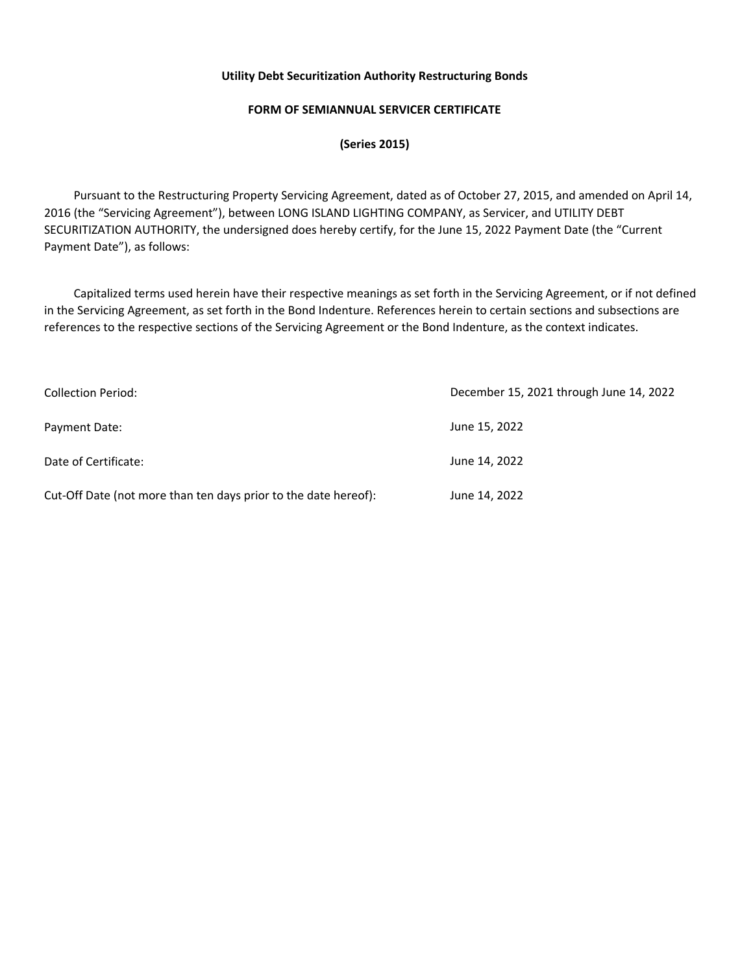# **FORM OF SEMIANNUAL SERVICER CERTIFICATE**

**(Series 2015)** 

 Pursuant to the Restructuring Property Servicing Agreement, dated as of October 27, 2015, and amended on April 14, 2016 (the "Servicing Agreement"), between LONG ISLAND LIGHTING COMPANY, as Servicer, and UTILITY DEBT SECURITIZATION AUTHORITY, the undersigned does hereby certify, for the June 15, 2022 Payment Date (the "Current Payment Date"), as follows:

 Capitalized terms used herein have their respective meanings as set forth in the Servicing Agreement, or if not defined in the Servicing Agreement, as set forth in the Bond Indenture. References herein to certain sections and subsections are references to the respective sections of the Servicing Agreement or the Bond Indenture, as the context indicates.

| <b>Collection Period:</b>                                       | December 15, 2021 through June 14, 2022 |
|-----------------------------------------------------------------|-----------------------------------------|
| Payment Date:                                                   | June 15, 2022                           |
| Date of Certificate:                                            | June 14, 2022                           |
| Cut-Off Date (not more than ten days prior to the date hereof): | June 14, 2022                           |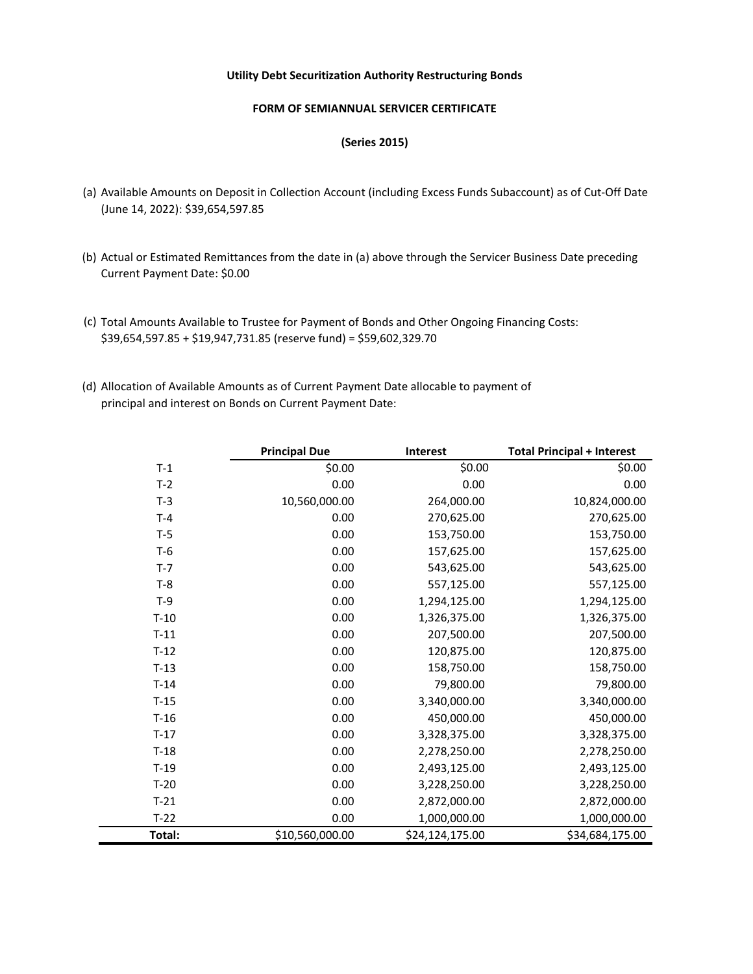### **FORM OF SEMIANNUAL SERVICER CERTIFICATE**

### **(Series 2015)**

- (a) Available Amounts on Deposit in Collection Account (including Excess Funds Subaccount) as of Cut-Off Date (June 14, 2022): \$39,654,597.85
- (b) Actual or Estimated Remittances from the date in (a) above through the Servicer Business Date preceding Current Payment Date: \$0.00
- (c) Total Amounts Available to Trustee for Payment of Bonds and Other Ongoing Financing Costs: \$39,654,597.85 + \$19,947,731.85 (reserve fund) = \$59,602,329.70
- (d) Allocation of Available Amounts as of Current Payment Date allocable to payment of principal and interest on Bonds on Current Payment Date:

|         | <b>Principal Due</b> | <b>Interest</b> | <b>Total Principal + Interest</b> |
|---------|----------------------|-----------------|-----------------------------------|
| $T-1$   | \$0.00               | \$0.00          | \$0.00                            |
| $T-2$   | 0.00                 | 0.00            | 0.00                              |
| $T-3$   | 10,560,000.00        | 264,000.00      | 10,824,000.00                     |
| $T-4$   | 0.00                 | 270,625.00      | 270,625.00                        |
| $T-5$   | 0.00                 | 153,750.00      | 153,750.00                        |
| $T-6$   | 0.00                 | 157,625.00      | 157,625.00                        |
| $T - 7$ | 0.00                 | 543,625.00      | 543,625.00                        |
| $T-8$   | 0.00                 | 557,125.00      | 557,125.00                        |
| $T-9$   | 0.00                 | 1,294,125.00    | 1,294,125.00                      |
| $T-10$  | 0.00                 | 1,326,375.00    | 1,326,375.00                      |
| $T-11$  | 0.00                 | 207,500.00      | 207,500.00                        |
| $T-12$  | 0.00                 | 120,875.00      | 120,875.00                        |
| $T-13$  | 0.00                 | 158,750.00      | 158,750.00                        |
| $T-14$  | 0.00                 | 79,800.00       | 79,800.00                         |
| $T-15$  | 0.00                 | 3,340,000.00    | 3,340,000.00                      |
| $T-16$  | 0.00                 | 450,000.00      | 450,000.00                        |
| $T-17$  | 0.00                 | 3,328,375.00    | 3,328,375.00                      |
| $T-18$  | 0.00                 | 2,278,250.00    | 2,278,250.00                      |
| $T-19$  | 0.00                 | 2,493,125.00    | 2,493,125.00                      |
| $T-20$  | 0.00                 | 3,228,250.00    | 3,228,250.00                      |
| $T-21$  | 0.00                 | 2,872,000.00    | 2,872,000.00                      |
| $T-22$  | 0.00                 | 1,000,000.00    | 1,000,000.00                      |
| Total:  | \$10,560,000.00      | \$24,124,175.00 | \$34,684,175.00                   |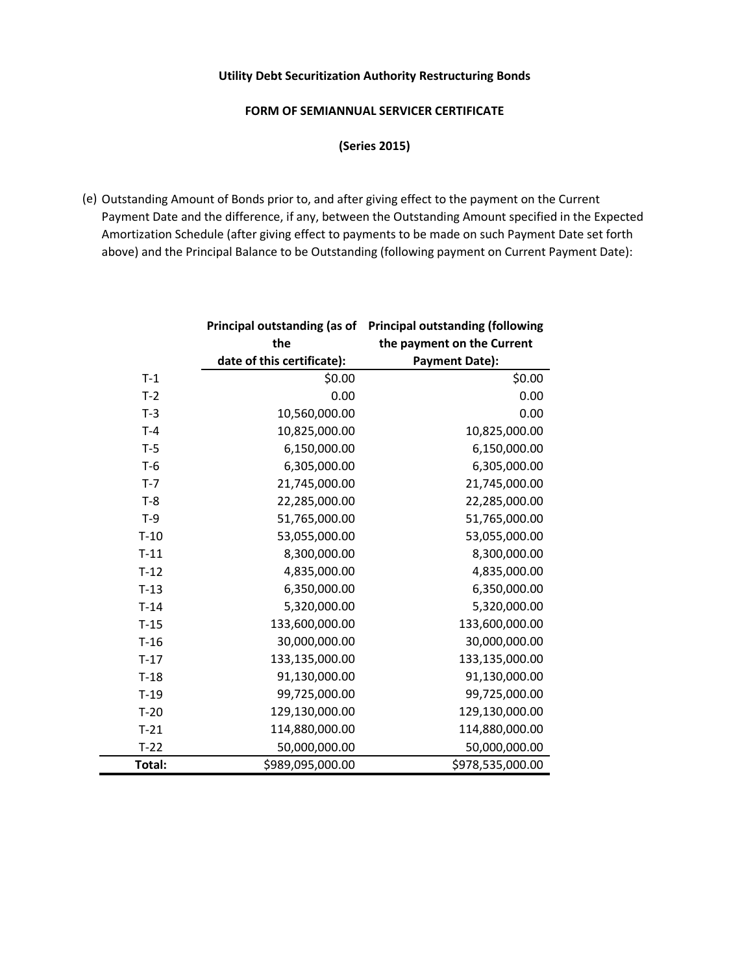# **FORM OF SEMIANNUAL SERVICER CERTIFICATE**

**(Series 2015)** 

(e) Outstanding Amount of Bonds prior to, and after giving effect to the payment on the Current Payment Date and the difference, if any, between the Outstanding Amount specified in the Expected Amortization Schedule (after giving effect to payments to be made on such Payment Date set forth above) and the Principal Balance to be Outstanding (following payment on Current Payment Date):

|        | Principal outstanding (as of | <b>Principal outstanding (following</b> |
|--------|------------------------------|-----------------------------------------|
|        | the                          | the payment on the Current              |
|        | date of this certificate):   | <b>Payment Date):</b>                   |
| $T-1$  | \$0.00                       | \$0.00                                  |
| $T-2$  | 0.00                         | 0.00                                    |
| $T-3$  | 10,560,000.00                | 0.00                                    |
| $T-4$  | 10,825,000.00                | 10,825,000.00                           |
| $T-5$  | 6,150,000.00                 | 6,150,000.00                            |
| $T-6$  | 6,305,000.00                 | 6,305,000.00                            |
| $T-7$  | 21,745,000.00                | 21,745,000.00                           |
| $T-8$  | 22,285,000.00                | 22,285,000.00                           |
| $T-9$  | 51,765,000.00                | 51,765,000.00                           |
| $T-10$ | 53,055,000.00                | 53,055,000.00                           |
| $T-11$ | 8,300,000.00                 | 8,300,000.00                            |
| $T-12$ | 4,835,000.00                 | 4,835,000.00                            |
| $T-13$ | 6,350,000.00                 | 6,350,000.00                            |
| $T-14$ | 5,320,000.00                 | 5,320,000.00                            |
| $T-15$ | 133,600,000.00               | 133,600,000.00                          |
| $T-16$ | 30,000,000.00                | 30,000,000.00                           |
| $T-17$ | 133,135,000.00               | 133,135,000.00                          |
| $T-18$ | 91,130,000.00                | 91,130,000.00                           |
| $T-19$ | 99,725,000.00                | 99,725,000.00                           |
| $T-20$ | 129,130,000.00               | 129,130,000.00                          |
| $T-21$ | 114,880,000.00               | 114,880,000.00                          |
| $T-22$ | 50,000,000.00                | 50,000,000.00                           |
| Total: | \$989,095,000.00             | \$978,535,000.00                        |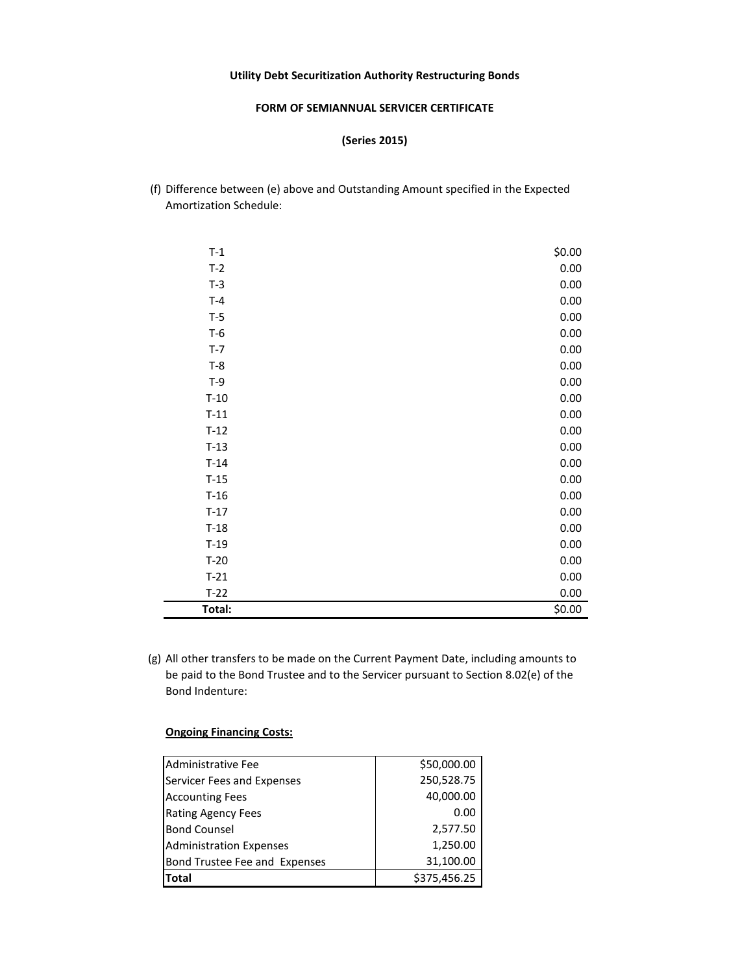#### **FORM OF SEMIANNUAL SERVICER CERTIFICATE**

**(Series 2015)** 

(f) Difference between (e) above and Outstanding Amount specified in the Expected Amortization Schedule:

| $T-1$  | \$0.00 |
|--------|--------|
| $T-2$  | 0.00   |
| $T-3$  | 0.00   |
| $T-4$  | 0.00   |
| $T-5$  | 0.00   |
| $T-6$  | 0.00   |
| $T-7$  | 0.00   |
| $T-8$  | 0.00   |
| $T-9$  | 0.00   |
| $T-10$ | 0.00   |
| $T-11$ | 0.00   |
| $T-12$ | 0.00   |
| $T-13$ | 0.00   |
| $T-14$ | 0.00   |
| $T-15$ | 0.00   |
| $T-16$ | 0.00   |
| $T-17$ | 0.00   |
| $T-18$ | 0.00   |
| $T-19$ | 0.00   |
| $T-20$ | 0.00   |
| $T-21$ | 0.00   |
| $T-22$ | 0.00   |
| Total: | \$0.00 |

(g) All other transfers to be made on the Current Payment Date, including amounts to be paid to the Bond Trustee and to the Servicer pursuant to Section 8.02(e) of the Bond Indenture:

#### **Ongoing Financing Costs:**

| Administrative Fee             | \$50,000.00  |
|--------------------------------|--------------|
| Servicer Fees and Expenses     | 250,528.75   |
| <b>Accounting Fees</b>         | 40,000.00    |
| <b>Rating Agency Fees</b>      | 0.00         |
| <b>Bond Counsel</b>            | 2,577.50     |
| <b>Administration Expenses</b> | 1,250.00     |
| Bond Trustee Fee and Expenses  | 31,100.00    |
| <b>Total</b>                   | \$375,456.25 |